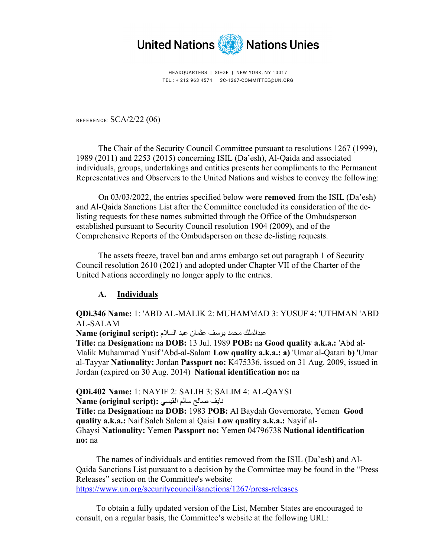

HEADQUARTERS | SIEGE | NEW YORK, NY 10017 TEL.: + 212 963 4574 | SC-1267-COMMITTEE@UN.ORG

REFERENCE: SCA/2/22 (06)

The Chair of the Security Council Committee pursuant to resolutions 1267 (1999), 1989 (2011) and 2253 (2015) concerning ISIL (Da'esh), Al-Qaida and associated individuals, groups, undertakings and entities presents her compliments to the Permanent Representatives and Observers to the United Nations and wishes to convey the following:

On 03/03/2022, the entries specified below were **removed** from the ISIL (Da'esh) and Al-Qaida Sanctions List after the Committee concluded its consideration of the delisting requests for these names submitted through the Office of the Ombudsperson established pursuant to Security Council resolution 1904 (2009), and of the Comprehensive Reports of the Ombudsperson on these de-listing requests.

The assets freeze, travel ban and arms embargo set out paragraph 1 of Security Council resolution 2610 (2021) and adopted under Chapter VII of the Charter of the United Nations accordingly no longer apply to the entries.

## **A. Individuals**

**QDi.346 Name:** 1: 'ABD AL-MALIK 2: MUHAMMAD 3: YUSUF 4: 'UTHMAN 'ABD AL-SALAM

عبدالملك محمد يوسف عثمان عبد السلام **:(script original (Name**

**Title:** na **Designation:** na **DOB:** 13 Jul. 1989 **POB:** na **Good quality a.k.a.:** 'Abd al-Malik Muhammad Yusif 'Abd-al-Salam **Low quality a.k.a.: a)** 'Umar al-Qatari **b)** 'Umar al-Tayyar **Nationality:** Jordan **Passport no:** K475336, issued on 31 Aug. 2009, issued in Jordan (expired on 30 Aug. 2014) **National identification no:** na

## **QDi.402 Name:** 1: NAYIF 2: SALIH 3: SALIM 4: AL-QAYSI

نايف صالح سالم القيسي **:(script original (Name Title:** na **Designation:** na **DOB:** 1983 **POB:** Al Baydah Governorate, Yemen **Good quality a.k.a.:** Naif Saleh Salem al Qaisi **Low quality a.k.a.:** Nayif al-

Ghaysi **Nationality:** Yemen **Passport no:** Yemen 04796738 **National identification no:** na

 The names of individuals and entities removed from the ISIL (Da'esh) and Al-Qaida Sanctions List pursuant to a decision by the Committee may be found in the "Press Releases" section on the Committee's website: https://www.un.org/securitycouncil/sanctions/1267/press-releases

 To obtain a fully updated version of the List, Member States are encouraged to consult, on a regular basis, the Committee's website at the following URL: